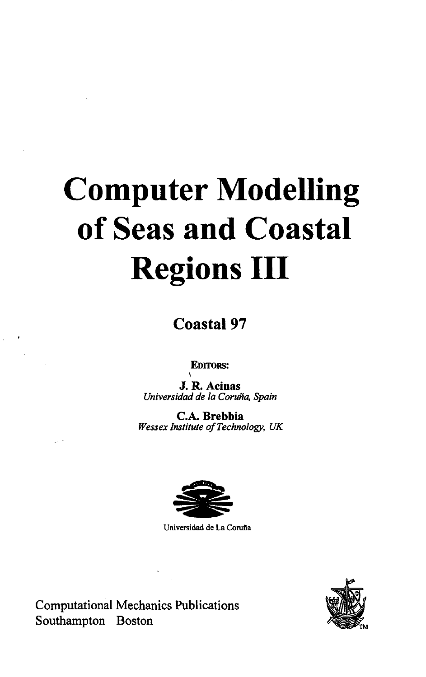## **Computer Modelling of Seas and Coastal Regions III**

**Coastal 97**

**EDITORS:**

**J. R. Acinas** *Universidad de la Coruna, Spain*

**C.A. Brebbia** *Wessex Institute of Technology, UK*



**Universidad de La Corufia**



Computational Mechanics Publications Southampton Boston

 $\bar{L}$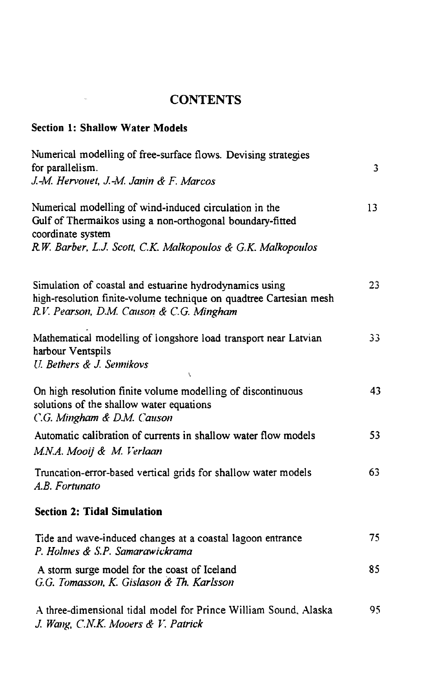## **CONTENTS**

## **Section 1: Shallow Water Models**

 $\label{eq:1} \mathbf{u}(\mathbf{r}) = \mathbf{u}(\mathbf{r})$ 

| Numerical modelling of free-surface flows. Devising strategies<br>for parallelism.<br>J.-M. Hervouet, J.-M. Janin & F. Marcos                                             | 3  |
|---------------------------------------------------------------------------------------------------------------------------------------------------------------------------|----|
| Numerical modelling of wind-induced circulation in the<br>Gulf of Thermaikos using a non-orthogonal boundary-fitted<br>coordinate system                                  | 13 |
| R.W. Barber, L.J. Scott, C.K. Malkopoulos & G.K. Malkopoulos                                                                                                              |    |
| Simulation of coastal and estuarine hydrodynamics using<br>high-resolution finite-volume technique on quadtree Cartesian mesh<br>R.V. Pearson, D.M. Causon & C.G. Mingham | 23 |
| Mathematical modelling of longshore load transport near Latvian<br>harbour Ventspils<br>U. Bethers & J. Sennikovs<br>V                                                    | 33 |
| On high resolution finite volume modelling of discontinuous<br>solutions of the shallow water equations<br>C.G. Mingham & D.M. Causon                                     | 43 |
| Automatic calibration of currents in shallow water flow models<br>M.N.A. Mooij & M. Verlaan                                                                               | 53 |
| Truncation-error-based vertical grids for shallow water models<br>A.B. Fortunato                                                                                          | 63 |
| <b>Section 2: Tidal Simulation</b>                                                                                                                                        |    |
| Tide and wave-induced changes at a coastal lagoon entrance<br>P. Holmes & S.P. Samarawickrama                                                                             | 75 |
| A storm surge model for the coast of Iceland<br>G.G. Tomasson, K. Gislason & Th. Karlsson                                                                                 | 85 |
| A three-dimensional tidal model for Prince William Sound, Alaska<br>J. Wang, C.N.K. Mooers & V. Patrick                                                                   | 95 |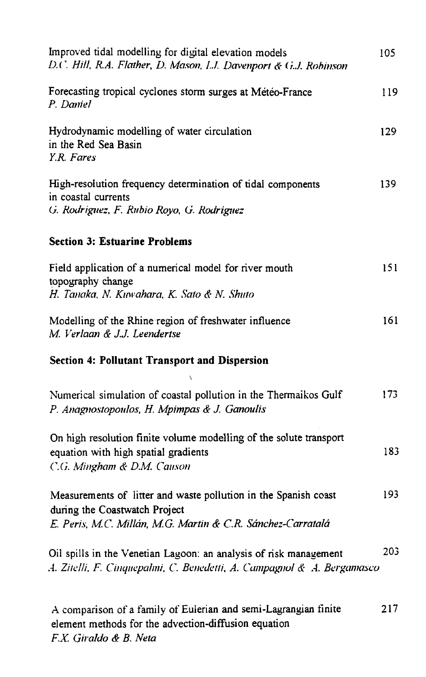| Improved tidal modelling for digital elevation models<br>D.C. Hill, R.A. Flather, D. Mason, L.J. Davenport & G.J. Robinson                                      | 105  |
|-----------------------------------------------------------------------------------------------------------------------------------------------------------------|------|
| Forecasting tropical cyclones storm surges at Météo-France<br>P. Daniel                                                                                         | 119  |
| Hydrodynamic modelling of water circulation<br>in the Red Sea Basin<br>Y.R. Fares                                                                               | 129  |
| High-resolution frequency determination of tidal components<br>in coastal currents<br>G. Rodríguez, F. Rubio Royo, G. Rodríguez                                 | 139  |
| <b>Section 3: Estuarine Problems</b>                                                                                                                            |      |
| Field application of a numerical model for river mouth<br>topography change<br>H. Tanaka, N. Kuwahara, K. Sato & N. Shuto                                       | 151  |
| Modelling of the Rhine region of freshwater influence<br>M. Verlaan & J.J. Leendertse                                                                           | 161  |
| <b>Section 4: Pollutant Transport and Dispersion</b>                                                                                                            |      |
| Ñ<br>Numerical simulation of coastal pollution in the Thermaikos Gulf<br>P. Anagnostopoulos, H. Mpimpas & J. Ganoulis                                           | 173. |
| On high resolution finite volume modelling of the solute transport<br>equation with high spatial gradients<br>C.G. Mingham & D.M. Causon                        | 183  |
| Measurements of litter and waste pollution in the Spanish coast<br>during the Coastwatch Project<br>E. Peris, M.C. Millán, M.G. Martin & C.R. Sánchez-Carratalá | 193  |
| Oil spills in the Venetian Lagoon: an analysis of risk management<br>A. Zitelli, F. Cinquepalmi, C. Benedetti, A. Campagnol & A. Bergamasco                     | 203  |
| A comparison of a family of Eulerian and semi-Lagrangian finite<br>element methods for the advection-diffusion equation<br>F.X. Giraldo & B. Neta               | 217  |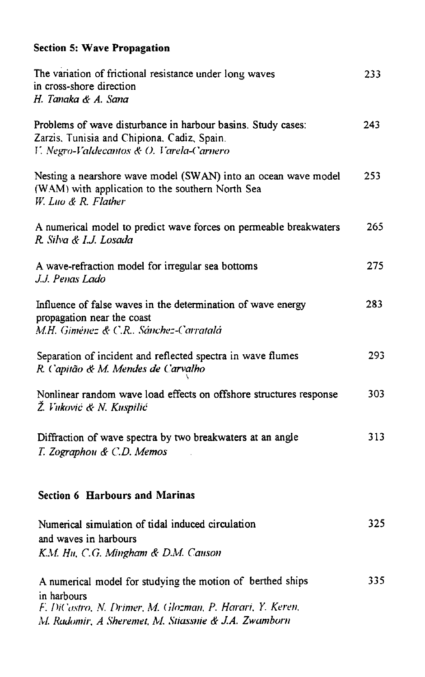## **Section 5: Wave Propagation**

| The variation of frictional resistance under long waves<br>in cross-shore direction<br>H. Tanaka & A. Sana                                                                                    | 233  |
|-----------------------------------------------------------------------------------------------------------------------------------------------------------------------------------------------|------|
| Problems of wave disturbance in harbour basins. Study cases:<br>Zarzis, Tunisia and Chipiona, Cadiz, Spain.<br>V. Negro-Valdecantos & O. Varela-Carnero                                       | 243  |
| Nesting a nearshore wave model (SWAN) into an ocean wave model<br>(WAM) with application to the southern North Sea<br>W. Luo & R. Flather                                                     | 253. |
| A numerical model to predict wave forces on permeable breakwaters<br>R. Silva & I.J. Losada                                                                                                   | 265  |
| A wave-refraction model for irregular sea bottoms<br>J.J. Penas Lado                                                                                                                          | 275  |
| Influence of false waves in the determination of wave energy<br>propagation near the coast<br>M.H. Giménez & C.R Sánchez-Carratalá                                                            | 283. |
| Separation of incident and reflected spectra in wave flumes<br>R. Capitão & M. Mendes de Carvalho                                                                                             | 293  |
| Nonlinear random wave load effects on offshore structures response<br>Ž. Vuković & N. Kuspilić                                                                                                | 303  |
| Diffraction of wave spectra by two breakwaters at an angle<br>T. Zographou & C.D. Memos                                                                                                       | 313  |
| <b>Section 6 Harbours and Marinas</b>                                                                                                                                                         |      |
| Numerical simulation of tidal induced circulation<br>and waves in harbours<br>K.M. Hu, C.G. Mingham & D.M. Causon                                                                             | 325  |
| A numerical model for studying the motion of berthed ships<br>in harbours<br>F. DiCastro, N. Drimer, M. Glozman, P. Harari, Y. Keren,<br>M. Radomir, A Sheremet, M. Stiassnie & J.A. Zwamborn | 335  |